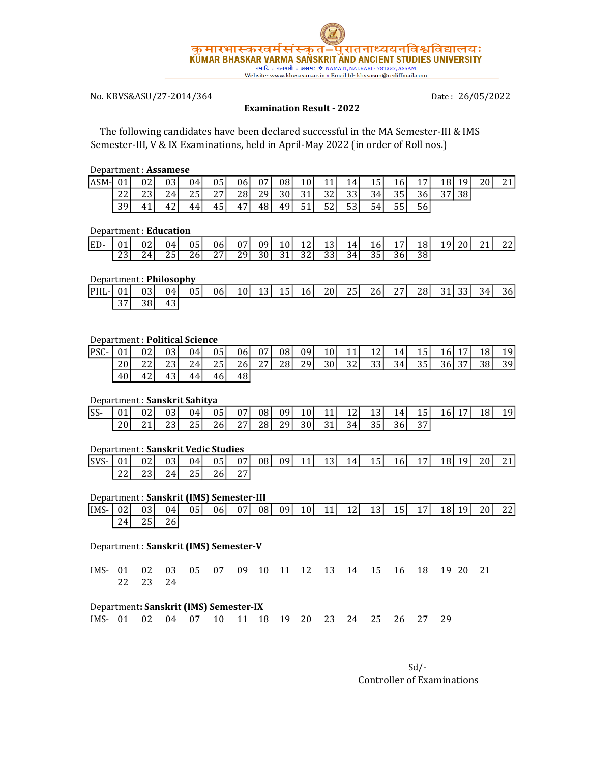

# No. KBVS&ASU/27-2014/364

Date: 26/05/2022

#### Examination Result - 2022

 The following candidates have been declared successful in the MA Semester-III & IMS Semester-III, V & IX Examinations, held in April-May 2022 (in order of Roll nos.)

#### Department : Assamese

| ASM-l | 01 <sup>1</sup> | 02 <sub>l</sub> | 03 | 04 | 05 | 06 I | 07 I | 08  | 10 <sup>1</sup> | 11               | 14 <sup>1</sup>  | 15 I | 16 | 17 | 18 | 19 | 20 | 21 |
|-------|-----------------|-----------------|----|----|----|------|------|-----|-----------------|------------------|------------------|------|----|----|----|----|----|----|
|       | ົາ<br>44        | 23<br>ີ         | 24 | 25 | 27 | 28 I | 29 l | 30  | 31              | 32               | 33               | 34   | 35 | 36 | 37 | 38 |    |    |
|       | 39              | 4 <sup>1</sup>  | 42 | 44 | 45 | 47   | 481  | 49' | E1              | <u>- 2</u><br>52 | <u>- 2</u><br>ჂჂ | 54   | 55 | 56 |    |    |    |    |

#### Department : Education

| IED- | 01 <sup>1</sup> | 021 | 04  | 05 <sup>1</sup>  | 06         | 07   | 09   | 10 <sup>1</sup> | 12 <sup>1</sup> | 13 I | 14 I | 16 I | 17               | 18 I | 20 <sup> </sup><br>19 I | 21 <sub>1</sub> | 22 |
|------|-----------------|-----|-----|------------------|------------|------|------|-----------------|-----------------|------|------|------|------------------|------|-------------------------|-----------------|----|
|      | 221<br>ں ے      | 24  | つらい | 26 <sup>-1</sup> | 271<br>، ، | 29 I | 30 L | 31 <sup> </sup> | 32 <sup>1</sup> | 33 I | 34 I | 35 I | 36 <sup>-1</sup> | 38   |                         |                 |    |

#### Department : Philosophy

| $ PHL  01 $ |    | 03 <sub>l</sub> | 04 | 05 | 06 | 10 <sup>1</sup> | 13 l | 15 L | 16 <sup> </sup> | 20 L | 25 <sup>1</sup> | 26 <sup> </sup> | 27 <sub>l</sub> | 28 L | 31 <sup> </sup> | 331 | 34 <sup>1</sup> | 36 <sup>-1</sup> |
|-------------|----|-----------------|----|----|----|-----------------|------|------|-----------------|------|-----------------|-----------------|-----------------|------|-----------------|-----|-----------------|------------------|
|             | 37 | 38              | 43 |    |    |                 |      |      |                 |      |                 |                 |                 |      |                 |     |                 |                  |

### Department : Political Science

| $PSC-$ | 01 <sup>1</sup> | 02 | 03 <sup>1</sup> | 04   | 05 <sub>l</sub> | 06 | 07 <sup>1</sup> | 08 | 09 | 10 <sup>1</sup> | 11 | 12 | 14 <sup>1</sup> | 15 <sup>1</sup> | <b>16</b> | 17 <sup>1</sup> | 18 <sup>1</sup> | 19 <sup>1</sup> |
|--------|-----------------|----|-----------------|------|-----------------|----|-----------------|----|----|-----------------|----|----|-----------------|-----------------|-----------|-----------------|-----------------|-----------------|
|        | 20 <sup>1</sup> | 22 | 23              | 24   | 25              | 26 | 27              | 28 | 29 | 30 <sup> </sup> | 32 | 33 | 34              | 35              | 36        | 37              | 38              | 39              |
|        | 40              | 42 | 43              | 44 I | 46 I            | 48 |                 |    |    |                 |    |    |                 |                 |           |                 |                 |                 |

### Department : Sanskrit Sahitya

| $ SS-$ | 01 | 02 <sub>l</sub> | 031 | 04 | 05 <sup>1</sup> | 07              | 08 <sup>1</sup> | 09 | 10 <sup>1</sup> |                 | 12  | 13 I | 14 <sup>1</sup> | 151 | 17 <sup>1</sup><br>16 | 18 I | 19 <sup>1</sup> |
|--------|----|-----------------|-----|----|-----------------|-----------------|-----------------|----|-----------------|-----------------|-----|------|-----------------|-----|-----------------------|------|-----------------|
|        | 20 | 211             | 221 | 25 | 26I             | 27 <sup>1</sup> | 28              | 29 | 30 <sup>1</sup> | 31 <sup>1</sup> | 34I | 35   | 36 <sup>I</sup> | 37  |                       |      |                 |

#### Department : Sanskrit Vedic Studies

| $ SVS- $ | 01 <sup>1</sup> | 02 <sub>l</sub> | 031             | 04       | 05 <sup>1</sup> | 07 | 08 <sup>1</sup> | 09 | 11 <sup>1</sup> | 13 <sup>1</sup> | 14 <sup> </sup> | 15 L | <b>16</b> | 17 <sup>1</sup> | 18 | 19 <sup> </sup> | 20 <sup>1</sup> | 211 |
|----------|-----------------|-----------------|-----------------|----------|-----------------|----|-----------------|----|-----------------|-----------------|-----------------|------|-----------|-----------------|----|-----------------|-----------------|-----|
|          | 22              | 23 I            | 24 <sub>1</sub> | 251<br>້ | 26 <sup>1</sup> | 27 |                 |    |                 |                 |                 |      |           |                 |    |                 |                 |     |

#### Department : Sanskrit (IMS) Semester-III

| IIMS- | 02 <sup>1</sup> | 03 <sub>l</sub> | 04 I | 05 <sub>1</sub> | 06I | 07 <sup>1</sup> | 08 <sup>1</sup> | 091 | 10 <sup>1</sup> | 11 <sub>1</sub><br>. . | 12 <sup>1</sup> | 13 I | 15 <sub>l</sub> | 17 | 18I | 191 | 20 I | 221<br>$\overline{a}$ |
|-------|-----------------|-----------------|------|-----------------|-----|-----------------|-----------------|-----|-----------------|------------------------|-----------------|------|-----------------|----|-----|-----|------|-----------------------|
|       | 24              | ົ<br>้<br>ر ب   | 26   |                 |     |                 |                 |     |                 |                        |                 |      |                 |    |     |     |      |                       |

#### Department : Sanskrit (IMS) Semester-V

IMS- 01 02 03 05 07 09 10 11 12 13 14 15 16 18 19 20 21 22 23 24

#### Department: Sanskrit (IMS) Semester-IX

IMS- 01 02 04 07 10 11 18 19 20 23 24 25 26 27 29